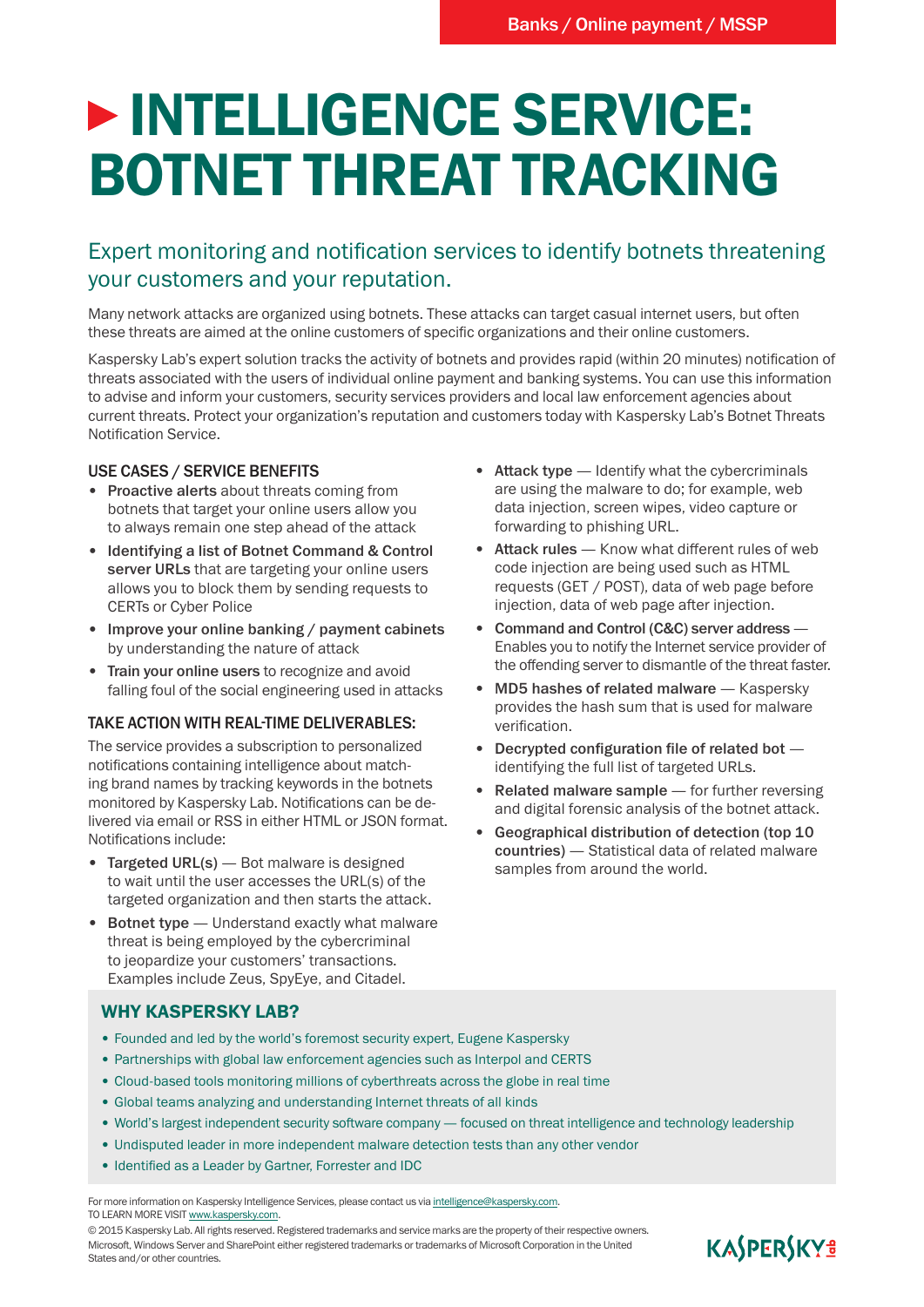# **DESCRIPTION INTELLIGENCE SERVICE:** BOTNET THREAT TRACKING

## Expert monitoring and notification services to identify botnets threatening your customers and your reputation.

Many network attacks are organized using botnets. These attacks can target casual internet users, but often these threats are aimed at the online customers of specific organizations and their online customers.

Kaspersky Lab's expert solution tracks the activity of botnets and provides rapid (within 20 minutes) notification of threats associated with the users of individual online payment and banking systems. You can use this information to advise and inform your customers, security services providers and local law enforcement agencies about current threats. Protect your organization's reputation and customers today with Kaspersky Lab's Botnet Threats Notification Service.

#### USE CASES / SERVICE BENEFITS

- Proactive alerts about threats coming from botnets that target your online users allow you to always remain one step ahead of the attack
- • Identifying a list of Botnet Command & Control server URLs that are targeting your online users allows you to block them by sending requests to CERTs or Cyber Police
- Improve your online banking / payment cabinets by understanding the nature of attack
- Train your online users to recognize and avoid falling foul of the social engineering used in attacks

#### TAKE ACTION WITH REAL-TIME DELIVERABLES:

The service provides a subscription to personalized notifications containing intelligence about matching brand names by tracking keywords in the botnets monitored by Kaspersky Lab. Notifications can be delivered via email or RSS in either HTML or JSON format. Notifications include:

- Targeted URL(s) Bot malware is designed to wait until the user accesses the URL(s) of the targeted organization and then starts the attack.
- **Botnet type**  $-$  Understand exactly what malware threat is being employed by the cybercriminal to jeopardize your customers' transactions. Examples include Zeus, SpyEye, and Citadel.

#### • Attack type — Identify what the cybercriminals are using the malware to do; for example, web data injection, screen wipes, video capture or forwarding to phishing URL.

- Attack rules Know what different rules of web code injection are being used such as HTML requests (GET / POST), data of web page before injection, data of web page after injection.
- Command and Control (C&C) server address -Enables you to notify the Internet service provider of the offending server to dismantle of the threat faster.
- MD5 hashes of related malware Kaspersky provides the hash sum that is used for malware verification.
- Decrypted configuration file of related bot  $$ identifying the full list of targeted URLs.
- Related malware sample for further reversing and digital forensic analysis of the botnet attack.
- Geographical distribution of detection (top 10 countries) — Statistical data of related malware samples from around the world.

#### WHY KASPERSKY LAB?

- Founded and led by the world's foremost security expert, Eugene Kaspersky
- Partnerships with global law enforcement agencies such as Interpol and CERTS
- Cloud-based tools monitoring millions of cyberthreats across the globe in real time
- Global teams analyzing and understanding Internet threats of all kinds
- • World's largest independent security software company focused on threat intelligence and technology leadership
- Undisputed leader in more independent malware detection tests than any other vendor
- Identified as a Leader by Gartner, Forrester and IDC

For more information on Kaspersky Intelligence Services, please contact us via intelligence@kaspersky.com. TO LEARN MORE VISIT www.kaspersky.com.

© 2015 Kaspersky Lab. All rights reserved. Registered trademarks and service marks are the property of their respective owners. Microsoft, Windows Server and SharePoint either registered trademarks or trademarks of Microsoft Corporation in the United States and/or other countries.

# KASPERSKY<sup>3</sup>